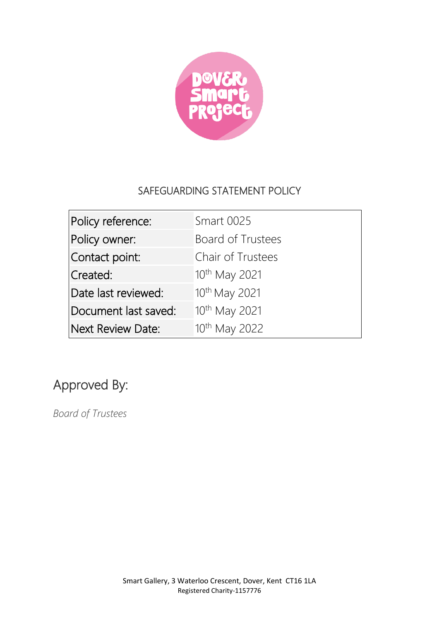

## SAFEGUARDING STATEMENT POLICY

| Policy reference:    | <b>Smart 0025</b>         |
|----------------------|---------------------------|
| Policy owner:        | Board of Trustees         |
| Contact point:       | Chair of Trustees         |
| Created:             | 10 <sup>th</sup> May 2021 |
| Date last reviewed:  | 10th May 2021             |
| Document last saved: | 10 <sup>th</sup> May 2021 |
| Next Review Date:    | 10th May 2022             |

# Approved By:

*Board of Trustees*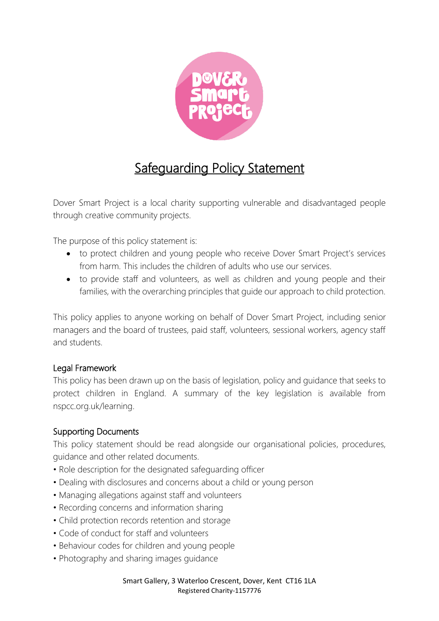

# Safeguarding Policy Statement

Dover Smart Project is a local charity supporting vulnerable and disadvantaged people through creative community projects.

The purpose of this policy statement is:

- to protect children and young people who receive Dover Smart Project's services from harm. This includes the children of adults who use our services.
- to provide staff and volunteers, as well as children and young people and their families, with the overarching principles that guide our approach to child protection.

This policy applies to anyone working on behalf of Dover Smart Project, including senior managers and the board of trustees, paid staff, volunteers, sessional workers, agency staff and students.

#### Legal Framework

This policy has been drawn up on the basis of legislation, policy and guidance that seeks to protect children in England. A summary of the key legislation is available from nspcc.org.uk/learning.

#### Supporting Documents

This policy statement should be read alongside our organisational policies, procedures, guidance and other related documents.

- Role description for the designated safeguarding officer
- Dealing with disclosures and concerns about a child or young person
- Managing allegations against staff and volunteers
- Recording concerns and information sharing
- Child protection records retention and storage
- Code of conduct for staff and volunteers
- Behaviour codes for children and young people
- Photography and sharing images guidance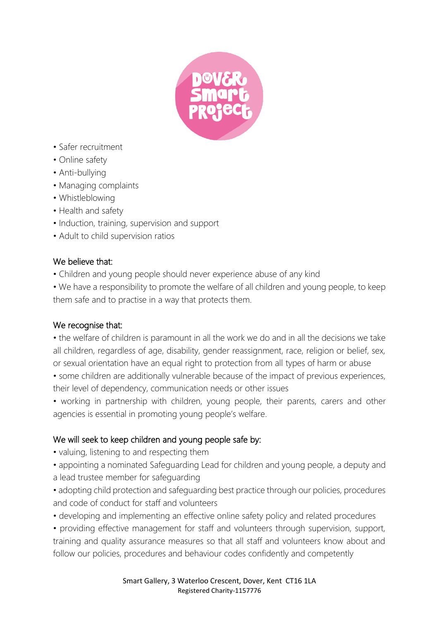

- Safer recruitment
- Online safety
- Anti-bullying
- Managing complaints
- Whistleblowing
- Health and safety
- Induction, training, supervision and support
- Adult to child supervision ratios

#### We believe that:

• Children and young people should never experience abuse of any kind

• We have a responsibility to promote the welfare of all children and young people, to keep them safe and to practise in a way that protects them.

#### We recognise that:

• the welfare of children is paramount in all the work we do and in all the decisions we take all children, regardless of age, disability, gender reassignment, race, religion or belief, sex, or sexual orientation have an equal right to protection from all types of harm or abuse

• some children are additionally vulnerable because of the impact of previous experiences, their level of dependency, communication needs or other issues

• working in partnership with children, young people, their parents, carers and other agencies is essential in promoting young people's welfare.

### We will seek to keep children and young people safe by:

- valuing, listening to and respecting them
- appointing a nominated Safeguarding Lead for children and young people, a deputy and a lead trustee member for safeguarding
- adopting child protection and safeguarding best practice through our policies, procedures and code of conduct for staff and volunteers
- developing and implementing an effective online safety policy and related procedures

• providing effective management for staff and volunteers through supervision, support, training and quality assurance measures so that all staff and volunteers know about and follow our policies, procedures and behaviour codes confidently and competently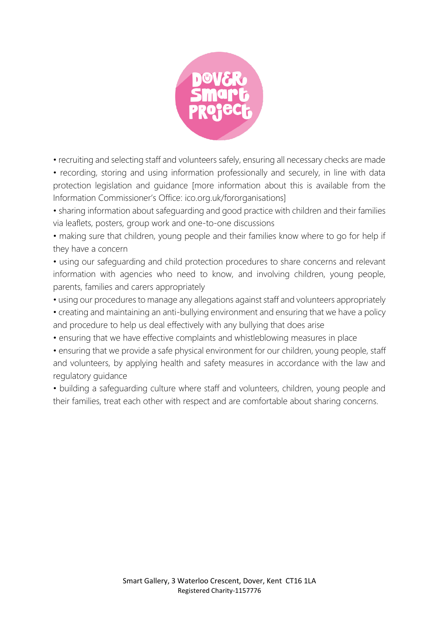

• recruiting and selecting staff and volunteers safely, ensuring all necessary checks are made

• recording, storing and using information professionally and securely, in line with data protection legislation and guidance [more information about this is available from the Information Commissioner's Office: ico.org.uk/fororganisations]

• sharing information about safeguarding and good practice with children and their families via leaflets, posters, group work and one-to-one discussions

• making sure that children, young people and their families know where to go for help if they have a concern

• using our safeguarding and child protection procedures to share concerns and relevant information with agencies who need to know, and involving children, young people, parents, families and carers appropriately

• using our procedures to manage any allegations against staff and volunteers appropriately

• creating and maintaining an anti-bullying environment and ensuring that we have a policy and procedure to help us deal effectively with any bullying that does arise

• ensuring that we have effective complaints and whistleblowing measures in place

• ensuring that we provide a safe physical environment for our children, young people, staff and volunteers, by applying health and safety measures in accordance with the law and regulatory guidance

• building a safeguarding culture where staff and volunteers, children, young people and their families, treat each other with respect and are comfortable about sharing concerns.